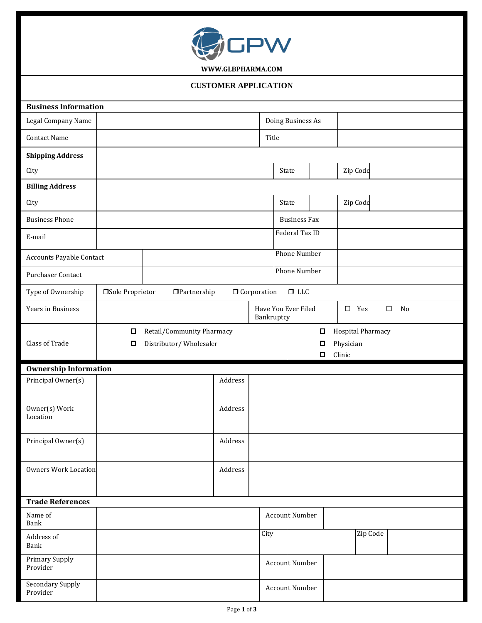

**[WWW.GLBPHARMA.COM](http://www.glbpharma.com/)**

## **CUSTOMER APPLICATION**

| <b>Business Information</b>     |                                                                    |  |                           |         |                      |                       |                  |                          |  |  |  |
|---------------------------------|--------------------------------------------------------------------|--|---------------------------|---------|----------------------|-----------------------|------------------|--------------------------|--|--|--|
| Legal Company Name              |                                                                    |  |                           |         |                      | Doing Business As     |                  |                          |  |  |  |
| <b>Contact Name</b>             |                                                                    |  |                           |         | Title                |                       |                  |                          |  |  |  |
| <b>Shipping Address</b>         |                                                                    |  |                           |         |                      |                       |                  |                          |  |  |  |
| City                            |                                                                    |  |                           |         |                      | State                 |                  | Zip Code                 |  |  |  |
| <b>Billing Address</b>          |                                                                    |  |                           |         |                      |                       |                  |                          |  |  |  |
| City                            |                                                                    |  |                           |         |                      | State                 |                  | Zip Code                 |  |  |  |
| <b>Business Phone</b>           |                                                                    |  |                           |         |                      | <b>Business Fax</b>   |                  |                          |  |  |  |
| E-mail                          |                                                                    |  |                           |         |                      | Federal Tax ID        |                  |                          |  |  |  |
| <b>Accounts Payable Contact</b> |                                                                    |  |                           |         |                      | Phone Number          |                  |                          |  |  |  |
| Purchaser Contact               |                                                                    |  |                           |         | <b>Phone Number</b>  |                       |                  |                          |  |  |  |
| Type of Ownership               | □Sole Proprietor                                                   |  | $\Box$ Partnership        |         | <b>O</b> Corporation | $\Box$ LLC            |                  |                          |  |  |  |
| Years in Business               | Have You Ever Filed<br>$\square$ Yes<br>$\Box$<br>No<br>Bankruptcy |  |                           |         |                      |                       |                  |                          |  |  |  |
|                                 | О                                                                  |  | Retail/Community Pharmacy |         |                      |                       | $\Box$           | <b>Hospital Pharmacy</b> |  |  |  |
|                                 | Distributor/Wholesaler<br>Д                                        |  |                           |         | $\Box$<br>Physician  |                       |                  |                          |  |  |  |
| Class of Trade                  |                                                                    |  |                           |         |                      |                       |                  |                          |  |  |  |
|                                 |                                                                    |  |                           |         |                      |                       | Clinic<br>$\Box$ |                          |  |  |  |
| <b>Ownership Information</b>    |                                                                    |  |                           |         |                      |                       |                  |                          |  |  |  |
| Principal Owner(s)              |                                                                    |  |                           | Address |                      |                       |                  |                          |  |  |  |
| Owner(s) Work                   |                                                                    |  |                           | Address |                      |                       |                  |                          |  |  |  |
| Location                        |                                                                    |  |                           |         |                      |                       |                  |                          |  |  |  |
| Principal Owner(s)              |                                                                    |  |                           | Address |                      |                       |                  |                          |  |  |  |
|                                 |                                                                    |  |                           |         |                      |                       |                  |                          |  |  |  |
| <b>Owners Work Location</b>     |                                                                    |  |                           | Address |                      |                       |                  |                          |  |  |  |
|                                 |                                                                    |  |                           |         |                      |                       |                  |                          |  |  |  |
| <b>Trade References</b>         |                                                                    |  |                           |         |                      |                       |                  |                          |  |  |  |
| Name of<br>Bank                 |                                                                    |  |                           |         |                      | <b>Account Number</b> |                  |                          |  |  |  |
| Address of<br>Bank              |                                                                    |  |                           |         | City                 |                       |                  | Zip Code                 |  |  |  |
| Primary Supply<br>Provider      |                                                                    |  |                           |         |                      | <b>Account Number</b> |                  |                          |  |  |  |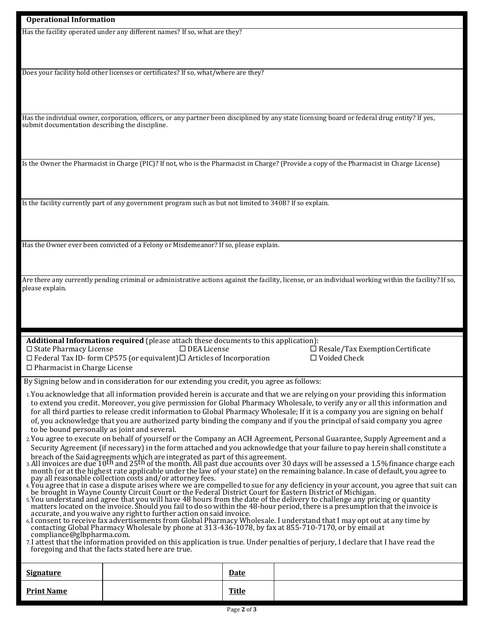Has the facility operated under any different names? If so, what are they?

Does your facility hold other licenses or certificates? If so, what/where are they?

Has the individual owner, corporation, officers, or any partner been disciplined by any state licensing board or federal drug entity? If yes, submit documentation describing the discipline.

Is the Owner the Pharmacist in Charge (PIC)? If not, who is the Pharmacist in Charge? (Provide a copy of the Pharmacist in Charge License)

Is the facility currently part of any government program such as but not limited to 340B? If so explain.

Has the Owner ever been convicted of a Felony or Misdemeanor? If so, please explain.

Are there any currently pending criminal or administrative actions against the facility, license, or an individual working within the facility? If so, please explain.

**Additional Information required** (please attach these documents to this application):  $\square$  State Pharmacy License  $\square$  DEA License  $\square$  Resale/Tax Exemption Certificate  $\Box$  Federal Tax ID- form CP575 (or equivalent) $\Box$  Articles of Incorporation  $\Box$  Voided Check

 $\Box$  Pharmacist in Charge License

By Signing below and in consideration for our extending you credit, you agree as follows:

- 1.You acknowledge that all information provided herein is accurate and that we are relying on your providing this information to extend you credit. Moreover, you give permission for Global Pharmacy Wholesale, to verify any or all this information and for all third parties to release credit information to Global Pharmacy Wholesale; If it is a company you are signing on behalf of, you acknowledge that you are authorized party binding the company and if you the principal of said company you agree to be bound personally as joint and several.
- 2.You agree to execute on behalf of yourself or the Company an ACH Agreement, Personal Guarantee, Supply Agreement and a Security Agreement (if necessary) in the form attached and you acknowledge that your failure to pay herein shall constitute a
- breach of the Said agreements which are integrated as part of this agreement.<br>3. All invoices are due 10<sup>th</sup> and 25<sup>th</sup> of the month. All past due accounts over 30 days will be assessed a 1.5% finance charge each month (or at the highest rate applicable under the law of your state) on the remaining balance. In case of default, you agree to pay all reasonable collection costs and/or attorney fees.
- 4. You agree that in case a dispute arises where we are compelled to sue for any deficiency in your account, you agree that suit can be brought in Wayne County Circuit Court or the Federal District Court for Eastern District of Michigan.
- 5.You understand and agree that you will have 48 hours from the date of the delivery to challenge any pricing or quantity matters located on the invoice. Should you fail to do so within the 48-hour period, there is a presumption that the invoice is accurate, and you waive any right to further action on said invoice.
- 6.I consent to receive fax advertisements from Global Pharmacy Wholesale. I understand that I may opt out at any time by contacting Global Pharmacy Wholesale by phone at 313-436-1078, by fax at 855-710-7170, or by email a[t](mailto:compliance@glbpharma.com) [compliance@glbpharma.com.](mailto:compliance@glbpharma.com)
- 7.I attest that the information provided on this application is true. Under penalties of perjury, I declare that I have read the foregoing and that the facts stated here are true.

| <b>Signature</b>  | <b>Date</b>  |  |
|-------------------|--------------|--|
| <u>Print Name</u> | <b>Title</b> |  |